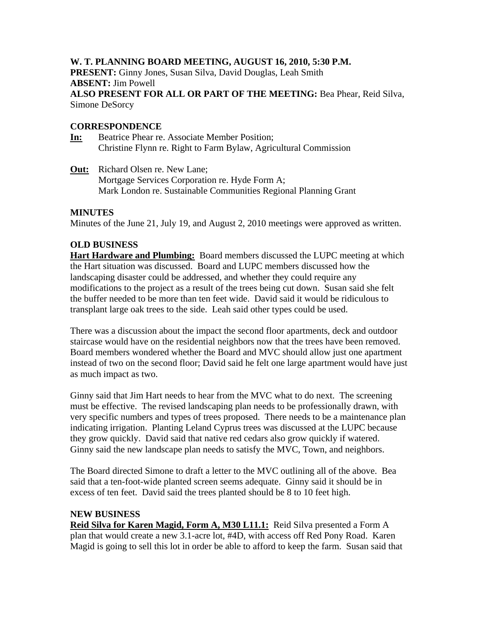# **W. T. PLANNING BOARD MEETING, AUGUST 16, 2010, 5:30 P.M.**

**PRESENT:** Ginny Jones, Susan Silva, David Douglas, Leah Smith **ABSENT:** Jim Powell **ALSO PRESENT FOR ALL OR PART OF THE MEETING:** Bea Phear, Reid Silva, Simone DeSorcy

## **CORRESPONDENCE**

- **In:** Beatrice Phear re. Associate Member Position; Christine Flynn re. Right to Farm Bylaw, Agricultural Commission
- **Out:** Richard Olsen re. New Lane; Mortgage Services Corporation re. Hyde Form A; Mark London re. Sustainable Communities Regional Planning Grant

### **MINUTES**

Minutes of the June 21, July 19, and August 2, 2010 meetings were approved as written.

# **OLD BUSINESS**

**Hart Hardware and Plumbing:** Board members discussed the LUPC meeting at which the Hart situation was discussed. Board and LUPC members discussed how the landscaping disaster could be addressed, and whether they could require any modifications to the project as a result of the trees being cut down. Susan said she felt the buffer needed to be more than ten feet wide. David said it would be ridiculous to transplant large oak trees to the side. Leah said other types could be used.

There was a discussion about the impact the second floor apartments, deck and outdoor staircase would have on the residential neighbors now that the trees have been removed. Board members wondered whether the Board and MVC should allow just one apartment instead of two on the second floor; David said he felt one large apartment would have just as much impact as two.

Ginny said that Jim Hart needs to hear from the MVC what to do next. The screening must be effective. The revised landscaping plan needs to be professionally drawn, with very specific numbers and types of trees proposed. There needs to be a maintenance plan indicating irrigation. Planting Leland Cyprus trees was discussed at the LUPC because they grow quickly. David said that native red cedars also grow quickly if watered. Ginny said the new landscape plan needs to satisfy the MVC, Town, and neighbors.

The Board directed Simone to draft a letter to the MVC outlining all of the above. Bea said that a ten-foot-wide planted screen seems adequate. Ginny said it should be in excess of ten feet. David said the trees planted should be 8 to 10 feet high.

### **NEW BUSINESS**

**Reid Silva for Karen Magid, Form A, M30 L11.1:** Reid Silva presented a Form A plan that would create a new 3.1-acre lot, #4D, with access off Red Pony Road. Karen Magid is going to sell this lot in order be able to afford to keep the farm. Susan said that